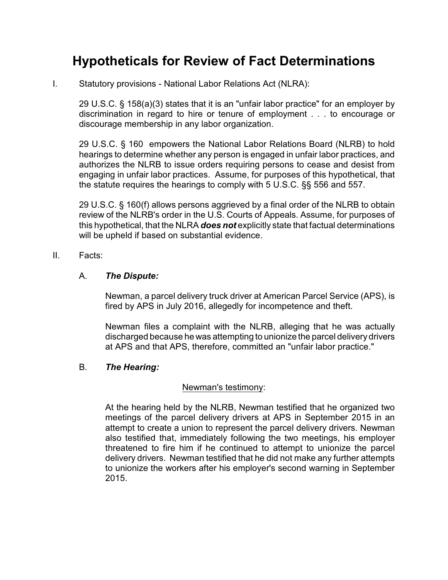# **Hypotheticals for Review of Fact Determinations**

I. Statutory provisions - National Labor Relations Act (NLRA):

29 U.S.C. § 158(a)(3) states that it is an "unfair labor practice" for an employer by discrimination in regard to hire or tenure of employment . . . to encourage or discourage membership in any labor organization.

29 U.S.C. § 160 empowers the National Labor Relations Board (NLRB) to hold hearings to determine whether any person is engaged in unfair labor practices, and authorizes the NLRB to issue orders requiring persons to cease and desist from engaging in unfair labor practices. Assume, for purposes of this hypothetical, that the statute requires the hearings to comply with 5 U.S.C. §§ 556 and 557.

29 U.S.C. § 160(f) allows persons aggrieved by a final order of the NLRB to obtain review of the NLRB's order in the U.S. Courts of Appeals. Assume, for purposes of this hypothetical, that the NLRA *does not* explicitly state that factual determinations will be upheld if based on substantial evidence.

# II. Facts:

# A. *The Dispute:*

Newman, a parcel delivery truck driver at American Parcel Service (APS), is fired by APS in July 2016, allegedly for incompetence and theft.

Newman files a complaint with the NLRB, alleging that he was actually discharged because he was attempting to unionize the parcel delivery drivers at APS and that APS, therefore, committed an "unfair labor practice."

### B. *The Hearing:*

#### Newman's testimony:

At the hearing held by the NLRB, Newman testified that he organized two meetings of the parcel delivery drivers at APS in September 2015 in an attempt to create a union to represent the parcel delivery drivers. Newman also testified that, immediately following the two meetings, his employer threatened to fire him if he continued to attempt to unionize the parcel delivery drivers. Newman testified that he did not make any further attempts to unionize the workers after his employer's second warning in September 2015.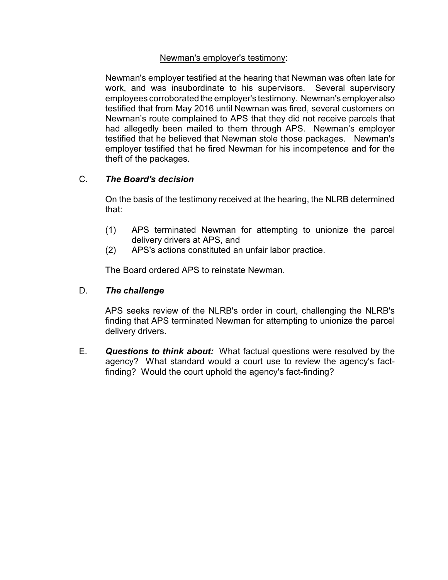# Newman's employer's testimony:

Newman's employer testified at the hearing that Newman was often late for work, and was insubordinate to his supervisors. Several supervisory employees corroborated the employer's testimony. Newman's employer also testified that from May 2016 until Newman was fired, several customers on Newman's route complained to APS that they did not receive parcels that had allegedly been mailed to them through APS. Newman's employer testified that he believed that Newman stole those packages. Newman's employer testified that he fired Newman for his incompetence and for the theft of the packages.

# C. *The Board's decision*

On the basis of the testimony received at the hearing, the NLRB determined that:

- (1) APS terminated Newman for attempting to unionize the parcel delivery drivers at APS, and
- (2) APS's actions constituted an unfair labor practice.

The Board ordered APS to reinstate Newman.

# D. *The challenge*

APS seeks review of the NLRB's order in court, challenging the NLRB's finding that APS terminated Newman for attempting to unionize the parcel delivery drivers.

E. *Questions to think about:* What factual questions were resolved by the agency? What standard would a court use to review the agency's factfinding? Would the court uphold the agency's fact-finding?